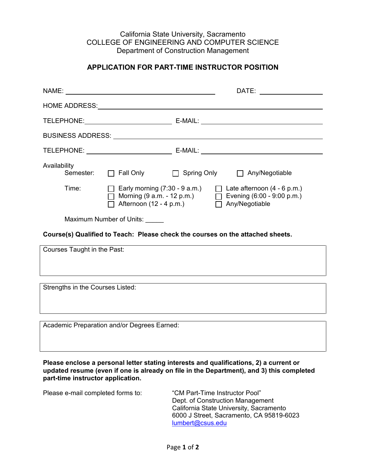## California State University, Sacramento COLLEGE OF ENGINEERING AND COMPUTER SCIENCE Department of Construction Management

## **APPLICATION FOR PART-TIME INSTRUCTOR POSITION**

|                                                                                                                                                                                                                                |                                                                                                                                                                                                                                |  | DATE: _______________ |
|--------------------------------------------------------------------------------------------------------------------------------------------------------------------------------------------------------------------------------|--------------------------------------------------------------------------------------------------------------------------------------------------------------------------------------------------------------------------------|--|-----------------------|
|                                                                                                                                                                                                                                | HOME ADDRESS: North and the state of the state of the state of the state of the state of the state of the state of the state of the state of the state of the state of the state of the state of the state of the state of the |  |                       |
|                                                                                                                                                                                                                                |                                                                                                                                                                                                                                |  |                       |
| BUSINESS ADDRESS: North and the second state of the second state of the second state of the second state of the second state of the second state of the second state of the second state of the second state of the second sta |                                                                                                                                                                                                                                |  |                       |
|                                                                                                                                                                                                                                |                                                                                                                                                                                                                                |  |                       |
| Availability                                                                                                                                                                                                                   | Semester: □ Fall Only □ Spring Only □ Any/Negotiable                                                                                                                                                                           |  |                       |
| Time:                                                                                                                                                                                                                          | Early morning $(7:30 - 9 \text{ a.m.})$<br>$\Box$ Late afternoon (4 - 6 p.m.)<br>Morning $(9 a.m. - 12 p.m.)$<br>$\Box$ Evening (6:00 - 9:00 p.m.)<br>$\Box$ Afternoon (12 - 4 p.m.)<br>$\Box$ Any/Negotiable                  |  |                       |
| Maximum Number of Units:                                                                                                                                                                                                       |                                                                                                                                                                                                                                |  |                       |
| Course(s) Qualified to Teach: Please check the courses on the attached sheets.                                                                                                                                                 |                                                                                                                                                                                                                                |  |                       |
| Courses Taught in the Past:                                                                                                                                                                                                    |                                                                                                                                                                                                                                |  |                       |
|                                                                                                                                                                                                                                |                                                                                                                                                                                                                                |  |                       |
| Strengths in the Courses Listed:                                                                                                                                                                                               |                                                                                                                                                                                                                                |  |                       |
| Academic Preparation and/or Degrees Earned:                                                                                                                                                                                    |                                                                                                                                                                                                                                |  |                       |
|                                                                                                                                                                                                                                |                                                                                                                                                                                                                                |  |                       |
| Please enclose a personal letter stating interests and qualifications, 2) a current or<br>updated resume (even if one is already on file in the Department), and 3) this completed<br>part-time instructor application.        |                                                                                                                                                                                                                                |  |                       |

| Please e-mail completed forms to: | "CM Part-Time Instructor Pool"           |
|-----------------------------------|------------------------------------------|
|                                   | Dept. of Construction Management         |
|                                   | California State University, Sacramento  |
|                                   | 6000 J Street, Sacramento, CA 95819-6023 |
|                                   | lumbert@csus.edu                         |